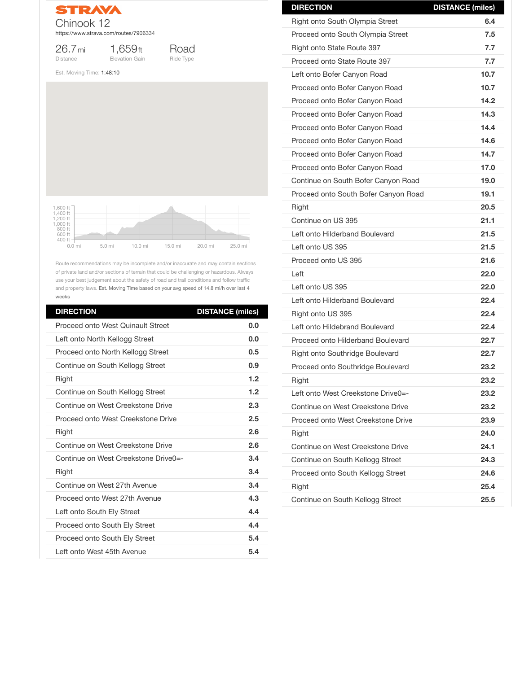

26.7mi Distance

1,659ft Elevation Gain



Est. Moving Time: 1:48:10

Route recommendations may be incomplete and/or inaccurate and may contain sections of private land and/or sections of terrain that could be challenging or hazardous. Always use your best judgement about the safety of road and trail conditions and follow traffic and property laws. Est. Moving Time based on your avg speed of 14.8 mi/h over last 4 weeks

| <b>DIRECTION</b>                         | <b>DISTANCE (miles)</b> |
|------------------------------------------|-------------------------|
| <b>Proceed onto West Quinault Street</b> | 0.0                     |
| Left onto North Kellogg Street           | 0.0                     |
| Proceed onto North Kellogg Street        | 0.5                     |
| Continue on South Kellogg Street         | 0.9                     |
| <b>Right</b>                             | 1.2                     |
| Continue on South Kellogg Street         | 1.2                     |
| Continue on West Creekstone Drive        | 2.3                     |
| Proceed onto West Creekstone Drive       | 2.5                     |
| <b>Right</b>                             | 2.6                     |
| Continue on West Creekstone Drive        | 2.6                     |
| Continue on West Creekstone Drive0=-     | 3.4                     |
| <b>Right</b>                             | 3.4                     |
| Continue on West 27th Avenue             | 3.4                     |
| Proceed onto West 27th Avenue            | 4.3                     |
| Left onto South Ely Street               | 4.4                     |
| <b>Proceed onto South Ely Street</b>     | 4.4                     |
| <b>Proceed onto South Ely Street</b>     | 5.4                     |
| Left onto West 45th Avenue               | 5.4                     |



| <b>DIRECTION</b>                         | <b>DISTANCE (miles)</b> |
|------------------------------------------|-------------------------|
| <b>Right onto South Olympia Street</b>   | 6.4                     |
| Proceed onto South Olympia Street        | 7.5                     |
| <b>Right onto State Route 397</b>        | 7.7                     |
| Proceed onto State Route 397             | 7.7                     |
| Left onto Bofer Canyon Road              | 10.7                    |
| Proceed onto Bofer Canyon Road           | 10.7                    |
| Proceed onto Bofer Canyon Road           | 14.2                    |
| Proceed onto Bofer Canyon Road           | 14.3                    |
| Proceed onto Bofer Canyon Road           | 14.4                    |
| Proceed onto Bofer Canyon Road           | 14.6                    |
| Proceed onto Bofer Canyon Road           | 14.7                    |
| Proceed onto Bofer Canyon Road           | 17.0                    |
| Continue on South Bofer Canyon Road      | 19.0                    |
| Proceed onto South Bofer Canyon Road     | 19.1                    |
| Right                                    | <b>20.5</b>             |
| Continue on US 395                       | 21.1                    |
| Left onto Hilderband Boulevard           | 21.5                    |
| Left onto US 395                         | 21.5                    |
| Proceed onto US 395                      | 21.6                    |
| Left                                     | 22.0                    |
| Left onto US 395                         | 22.0                    |
| Left onto Hilderband Boulevard           | 22.4                    |
| Right onto US 395                        | 22.4                    |
| Left onto Hildebrand Boulevard           | 22.4                    |
| <b>Proceed onto Hilderband Boulevard</b> | 22.7                    |
| <b>Right onto Southridge Boulevard</b>   | 22.7                    |
| <b>Proceed onto Southridge Boulevard</b> | 23.2                    |
| <b>Right</b>                             | 23.2                    |
| Left onto West Creekstone Drive0=-       | 23.2                    |
| Continue on West Creekstone Drive        | 23.2                    |

| Proceed onto West Creekstone Drive | 23.9 |
|------------------------------------|------|
| <b>Right</b>                       | 24.0 |
| Continue on West Creekstone Drive  | 24.1 |
| Continue on South Kellogg Street   | 24.3 |
| Proceed onto South Kellogg Street  | 24.6 |
| <b>Right</b>                       | 25.4 |
| Continue on South Kellogg Street   | 25.5 |